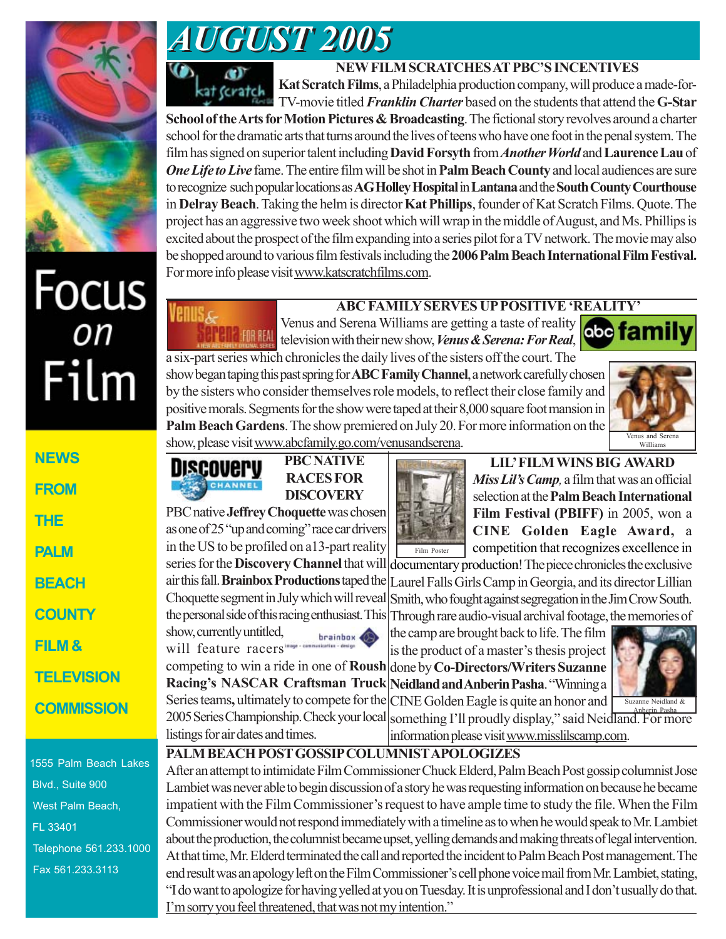

# *AUGUST 2005 AUGUST 2005*



**Venus&** 

## **NEW FILM SCRATCHES AT PBC'S INCENTIVES**

**Kat Scratch Films**, a Philadelphia production company, will produce a made-for-TV-movie titled *Franklin Charter* based on the students that attend the **G-Star**

**School of the Arts for Motion Pictures & Broadcasting**. The fictional story revolves around a charter school for the dramatic arts that turns around the lives of teens who have one foot in the penal system. The film has signed on superior talent including **David Forsyth** from *Another World* and **Laurence Lau** of *One Life to Live* fame. The entire film will be shot in **Palm Beach County** and local audiences are sure to recognize such popular locations as **AG Holley Hospital** in **Lantana** and the **South County Courthouse** in **Delray Beach**. Taking the helm is director **Kat Phillips**, founder of Kat Scratch Films. Quote. The project has an aggressive two week shoot which will wrap in the middle of August, and Ms. Phillips is excited about the prospect of the film expanding into a series pilot for a TV network. The movie may also be shopped around to various film festivals including the **2006 Palm Beach International Film Festival.** For more info please visit www.katscratchfilms.com.

# Focus<br>
Film

| <b>NEWS</b>       |
|-------------------|
| <b>EROM</b>       |
| THE               |
| PALM              |
| <b>BEACH</b>      |
| <b>COUNTY</b>     |
| FILM &            |
| <b>TELEVISION</b> |
| <b>COMMISSION</b> |

1555 Palm Beach Lakes Blvd., Suite 900 West Palm Beach, FL 33401 Telephone 561.233.1000 Fax 561.233.3113

# **ABC FAMILY SERVES UP POSITIVE 'REALITY'**

Venus and Serena Williams are getting a taste of reality **obe family ELL** FOR REAL television with their new show, *Venus & Serena: For Real*, a six-part series which chronicles the daily lives of the sisters off the court. The

show began taping this past spring for **ABC Family Channel**, a network carefully chosen by the sisters who consider themselves role models, to reflect their close family and positive morals. Segments for the show were taped at their 8,000 square foot mansion in **Palm Beach Gardens**. The show premiered on July 20. For more information on the show, please visit www.abcfamily.go.com/venusandserena.



**PBC NATIVE** DISCOVEPV **CHANNE** 

series for the **Discovery Channel** that will air this fall. **Brainbox Productions** taped the Choquette segment in July which will reveal the personal side of this racing enthusiast. This

**Racing's NASCAR Craftsman Truck**

show, currently untitled, will feature racers"

listings for air dates and times.

**RACES FOR DISCOVERY** PBC native **Jeffrey Choquette** was chosen

as one of 25 "up and coming" race car drivers in the US to be profiled on a13-part reality Film Poster

**LIL' FILM WINS BIG AWARD** *Miss Lil's Camp,* a film that was an official selection at the **Palm Beach International Film Festival (PBIFF)** in 2005, won a **CINE Golden Eagle Award,** a competition that recognizes excellence in

documentary production! The piece chronicles the exclusive Laurel Falls Girls Camp in Georgia, and its director Lillian Smith, who fought against segregation in the Jim Crow South. Through rare audio-visual archival footage, the memories of

competing to win a ride in one of **Roush** done by **Co-Directors/Writers Suzanne** the camp are brought back to life. The film is the product of a master's thesis project **Neidland and Anberin Pasha**. "Winning a



Series teams**,** ultimately to compete for the 2005 Series Championship. Check your local something I'll proudly display," said Neidland. For more CINE Golden Eagle is quite an honor and information please visit www.misslilscamp.com. Suzanne Neidland & Anberin Pasha

## **PALM BEACH POST GOSSIP COLUMNIST APOLOGIZES**

brainbox 4

After an attempt to intimidate Film Commissioner Chuck Elderd, Palm Beach Post gossip columnist Jose Lambiet was never able to begin discussion of a story he was requesting information on because he became impatient with the Film Commissioner's request to have ample time to study the file. When the Film Commissioner would not respond immediately with a timeline as to when he would speak to Mr. Lambiet about the production, the columnist became upset, yelling demands and making threats of legal intervention. At that time, Mr. Elderd terminated the call and reported the incident to Palm Beach Post management. The end result was an apology left on the Film Commissioner's cell phone voice mail from Mr. Lambiet, stating, "I do want to apologize for having yelled at you on Tuesday. It is unprofessional and I don't usually do that. I'm sorry you feel threatened, that was not my intention."